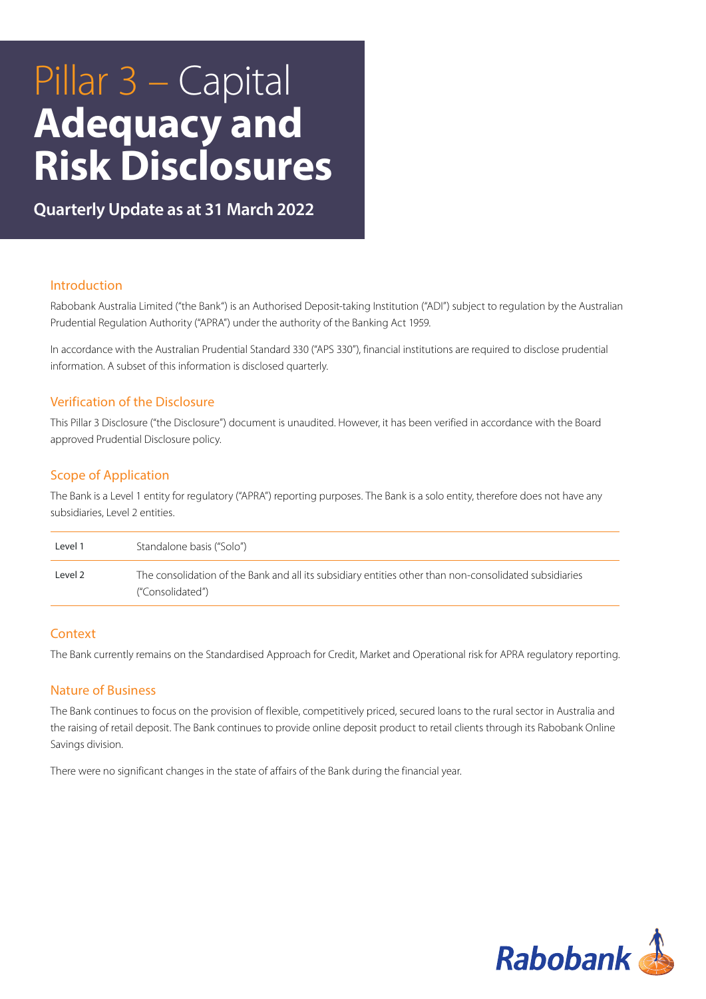# Pillar 3 – Capital **Adequacy and Risk Disclosures**

**Quarterly Update as at 31 March 2022**

## Introduction

Rabobank Australia Limited ("the Bank") is an Authorised Deposit-taking Institution ("ADI") subject to regulation by the Australian Prudential Regulation Authority ("APRA") under the authority of the Banking Act 1959.

In accordance with the Australian Prudential Standard 330 ("APS 330"), financial institutions are required to disclose prudential information. A subset of this information is disclosed quarterly.

## Verification of the Disclosure

This Pillar 3 Disclosure ("the Disclosure") document is unaudited. However, it has been verified in accordance with the Board approved Prudential Disclosure policy.

## Scope of Application

The Bank is a Level 1 entity for regulatory ("APRA") reporting purposes. The Bank is a solo entity, therefore does not have any subsidiaries, Level 2 entities.

| Level 1  | Standalone basis ("Solo")                                                                                                  |
|----------|----------------------------------------------------------------------------------------------------------------------------|
| l evel 2 | The consolidation of the Bank and all its subsidiary entities other than non-consolidated subsidiaries<br>("Consolidated") |

#### **Context**

The Bank currently remains on the Standardised Approach for Credit, Market and Operational risk for APRA regulatory reporting.

#### Nature of Business

The Bank continues to focus on the provision of flexible, competitively priced, secured loans to the rural sector in Australia and the raising of retail deposit. The Bank continues to provide online deposit product to retail clients through its Rabobank Online Savings division.

There were no significant changes in the state of affairs of the Bank during the financial year.

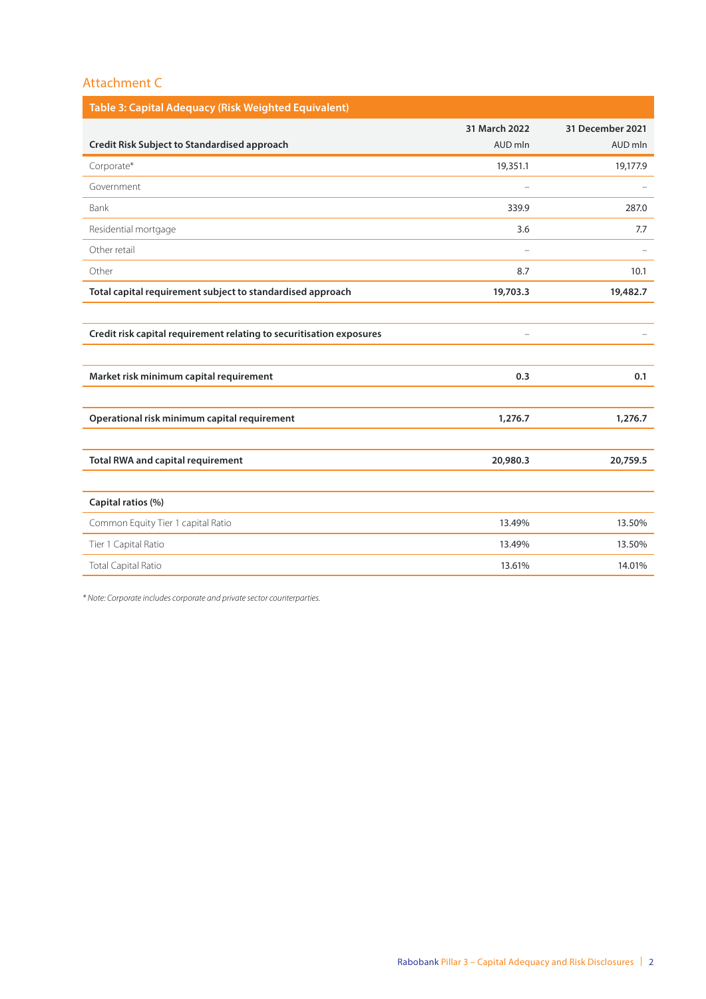| 31 March 2022            | 31 December 2021 |
|--------------------------|------------------|
| AUD mln                  | AUD mln          |
| 19,351.1                 | 19,177.9         |
|                          |                  |
| 339.9                    | 287.0            |
| 3.6                      | 7.7              |
|                          |                  |
| 8.7                      | 10.1             |
| 19,703.3                 | 19,482.7         |
|                          |                  |
| $\overline{\phantom{0}}$ |                  |
|                          |                  |
| 0.3                      | 0.1              |
|                          |                  |
| 1,276.7                  | 1,276.7          |
|                          |                  |
| 20,980.3                 | 20,759.5         |
|                          |                  |
|                          |                  |
| 13.49%                   | 13.50%           |
| 13.49%                   | 13.50%           |
| 13.61%                   | 14.01%           |
|                          |                  |

*\* Note: Corporate includes corporate and private sector counterparties.*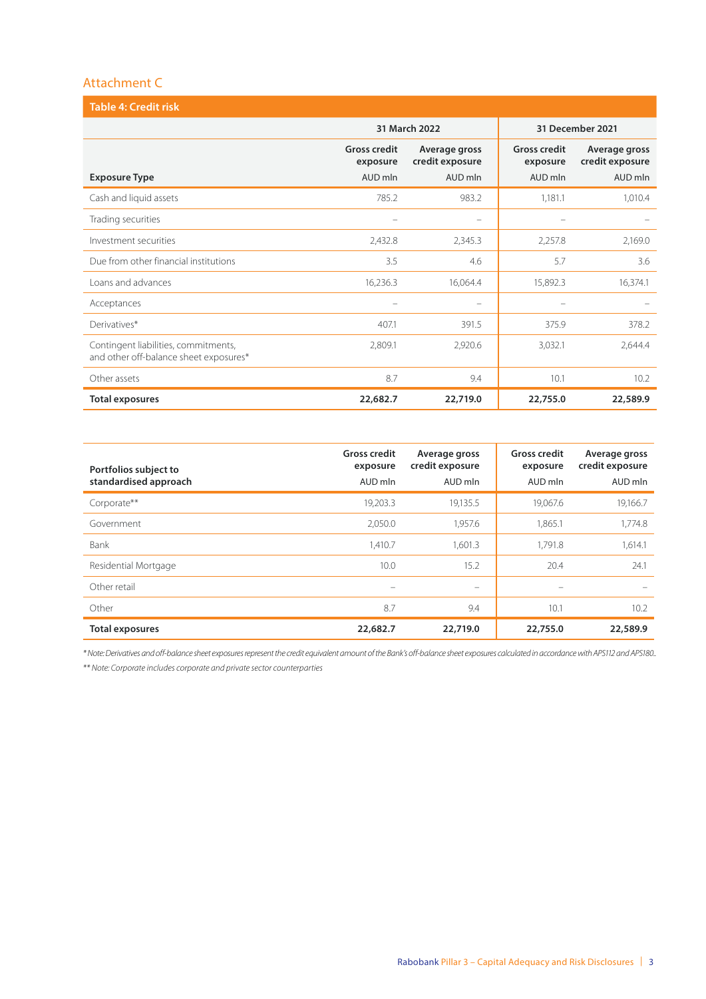| <b>Table 4: Credit risk</b>                                                    |                                 |                                  |                  |                                  |  |
|--------------------------------------------------------------------------------|---------------------------------|----------------------------------|------------------|----------------------------------|--|
|                                                                                |                                 | 31 March 2022                    | 31 December 2021 |                                  |  |
|                                                                                | <b>Gross credit</b><br>exposure | Average gross<br>credit exposure |                  | Average gross<br>credit exposure |  |
| <b>Exposure Type</b>                                                           | AUD mln                         | AUD mln                          | AUD mln          | AUD mln                          |  |
| Cash and liquid assets                                                         | 785.2                           | 983.2                            | 1,181.1          | 1,010.4                          |  |
| Trading securities                                                             |                                 |                                  |                  |                                  |  |
| Investment securities                                                          | 2,432.8                         | 2,345.3                          | 2,257.8          | 2,169.0                          |  |
| Due from other financial institutions                                          | 3.5                             | 4.6                              | 5.7              | 3.6                              |  |
| Loans and advances                                                             | 16,236.3                        | 16,064.4                         | 15,892.3         | 16,374.1                         |  |
| Acceptances                                                                    |                                 |                                  |                  |                                  |  |
| Derivatives*                                                                   | 407.1                           | 391.5                            | 375.9            | 378.2                            |  |
| Contingent liabilities, commitments,<br>and other off-balance sheet exposures* | 2,809.1                         | 2,920.6                          | 3,032.1          | 2,644.4                          |  |
| Other assets                                                                   | 8.7                             | 9.4                              | 10.1             | 10.2                             |  |
| <b>Total exposures</b>                                                         | 22,682.7                        | 22,719.0                         | 22,755.0         | 22,589.9                         |  |

| Portfolios subject to<br>standardised approach | <b>Gross credit</b><br>exposure<br>AUD mln | Average gross<br>credit exposure<br>AUD mln | <b>Gross credit</b><br>exposure<br>AUD mln | Average gross<br>credit exposure<br>AUD mln |
|------------------------------------------------|--------------------------------------------|---------------------------------------------|--------------------------------------------|---------------------------------------------|
| Corporate**                                    | 19,203.3                                   | 19,135.5                                    | 19.067.6                                   | 19,166.7                                    |
| Government                                     | 2,050.0                                    | 1,957.6                                     | 1,865.1                                    | 1,774.8                                     |
| Bank                                           | 1,410.7                                    | 1,601.3                                     | 1,791.8                                    | 1,614.1                                     |
| Residential Mortgage                           | 10.0                                       | 15.2                                        | 20.4                                       | 24.1                                        |
| Other retail                                   | $\overline{\phantom{0}}$                   |                                             | $\overline{\phantom{0}}$                   |                                             |
| Other                                          | 8.7                                        | 9.4                                         | 10.1                                       | 10.2                                        |
| <b>Total exposures</b>                         | 22,682.7                                   | 22,719.0                                    | 22,755.0                                   | 22,589.9                                    |

*\* Note: Derivatives and off-balance sheet exposures represent the credit equivalent amount of the Bank's off-balance sheet exposures calculated in accordance with APS112 and APS180..*

*\*\* Note: Corporate includes corporate and private sector counterparties*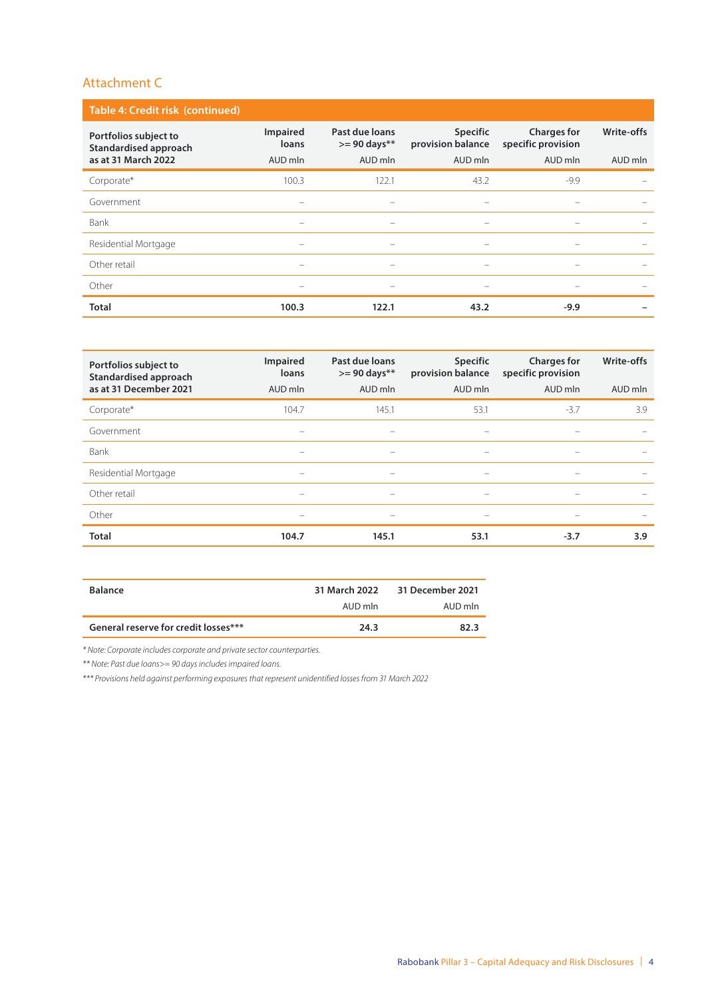| Table 4: Credit risk (continued)               |                                 |                                           |                                      |                                          |                                 |  |  |  |
|------------------------------------------------|---------------------------------|-------------------------------------------|--------------------------------------|------------------------------------------|---------------------------------|--|--|--|
| Portfolios subject to<br>Standardised approach | Impaired<br>loans               | Past due loans<br>$>= 90 \text{ days}$ ** | <b>Specific</b><br>provision balance | <b>Charges for</b><br>specific provision | Write-offs                      |  |  |  |
| as at 31 March 2022                            | AUD mln                         | AUD mln                                   | AUD mln                              | AUD mln                                  | AUD mln                         |  |  |  |
| Corporate*                                     | 100.3                           | 122.1                                     | 43.2                                 | $-9.9$                                   |                                 |  |  |  |
| Government                                     |                                 |                                           |                                      |                                          |                                 |  |  |  |
| Bank                                           | $\qquad \qquad$                 | $\qquad \qquad$                           | $\qquad \qquad$                      | $\hspace{0.1mm}-\hspace{0.1mm}$          | $\hspace{0.1mm}-\hspace{0.1mm}$ |  |  |  |
| Residential Mortgage                           |                                 | $\overline{\phantom{0}}$                  |                                      |                                          |                                 |  |  |  |
| Other retail                                   | $\hspace{0.1mm}-\hspace{0.1mm}$ | $\overline{\phantom{0}}$                  | $\hspace{0.05cm}$                    |                                          |                                 |  |  |  |
| Other                                          | $\hspace{0.1mm}-\hspace{0.1mm}$ | $\hspace{0.05cm}$                         | $\qquad \qquad$                      |                                          |                                 |  |  |  |
| <b>Total</b>                                   | 100.3                           | 122.1                                     | 43.2                                 | $-9.9$                                   |                                 |  |  |  |

| Portfolios subject to<br>Standardised approach | Impaired<br>loans | Past due loans<br>$>= 90 \text{ days}$ ** | <b>Specific</b><br>provision balance | <b>Charges for</b><br>specific provision | Write-offs |
|------------------------------------------------|-------------------|-------------------------------------------|--------------------------------------|------------------------------------------|------------|
| as at 31 December 2021                         | AUD mln           | AUD mln                                   | AUD mln                              | AUD mln                                  | AUD mln    |
| Corporate*                                     | 104.7             | 145.1                                     | 53.1                                 | $-3.7$                                   | 3.9        |
| Government                                     |                   |                                           | $\overline{\phantom{0}}$             |                                          |            |
| Bank                                           |                   | $\hspace{0.1mm}-\hspace{0.1mm}$           | $\hspace{0.1mm}-\hspace{0.1mm}$      | $\overline{\phantom{0}}$                 |            |
| Residential Mortgage                           | $\hspace{0.05cm}$ | $\hspace{0.1mm}-\hspace{0.1mm}$           | $\hspace{0.05cm}$                    |                                          |            |
| Other retail                                   |                   | $\hspace{0.1mm}-\hspace{0.1mm}$           | $\hspace{0.1mm}-\hspace{0.1mm}$      | $\overline{\phantom{0}}$                 |            |
| Other                                          | $\hspace{0.05cm}$ | $\hspace{0.1mm}-\hspace{0.1mm}$           | $\hspace{0.1mm}-\hspace{0.1mm}$      |                                          |            |
| <b>Total</b>                                   | 104.7             | 145.1                                     | 53.1                                 | $-3.7$                                   | 3.9        |

| <b>Balance</b>                       |         | 31 March 2022 31 December 2021 |
|--------------------------------------|---------|--------------------------------|
|                                      | AUD mln | AUD mln                        |
| General reserve for credit losses*** | 24.3    | 82.3                           |

*\* Note: Corporate includes corporate and private sector counterparties.* 

*\*\* Note: Past due loans>= 90 days includes impaired loans.*

*\*\*\* Provisions held against performing exposures that represent unidentified losses from 31 March 2022*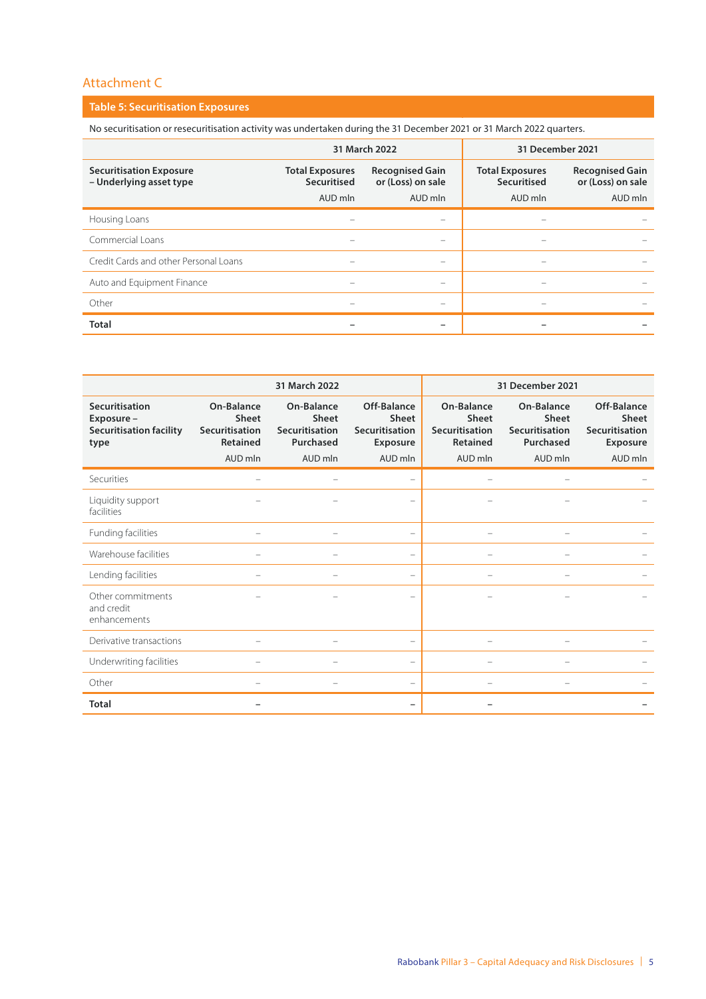## **Table 5: Securitisation Exposures**

No securitisation or resecuritisation activity was undertaken during the 31 December 2021 or 31 March 2022 quarters.

|                                                           |                                       | 31 March 2022                               | 31 December 2021         |                                             |
|-----------------------------------------------------------|---------------------------------------|---------------------------------------------|--------------------------|---------------------------------------------|
| <b>Securitisation Exposure</b><br>- Underlying asset type | <b>Total Exposures</b><br>Securitised | <b>Recognised Gain</b><br>or (Loss) on sale |                          | <b>Recognised Gain</b><br>or (Loss) on sale |
|                                                           | AUD mln                               | AUD mln                                     | AUD mln                  | AUD mln                                     |
| Housing Loans                                             |                                       | $\hspace{0.05cm}$                           |                          |                                             |
| Commercial Loans                                          |                                       |                                             |                          |                                             |
| Credit Cards and other Personal Loans                     |                                       | $\hspace{0.05cm}$                           | $\overline{\phantom{0}}$ |                                             |
| Auto and Equipment Finance                                |                                       |                                             |                          |                                             |
| Other                                                     | $\overline{\phantom{0}}$              | $\hspace{0.05cm}$                           |                          |                                             |
| <b>Total</b>                                              |                                       |                                             |                          |                                             |

|                                                                       |                                                          | 31 March 2022                                      |                                                    |                                                   | 31 December 2021                                          |                                                           |
|-----------------------------------------------------------------------|----------------------------------------------------------|----------------------------------------------------|----------------------------------------------------|---------------------------------------------------|-----------------------------------------------------------|-----------------------------------------------------------|
| Securitisation<br>Exposure-<br><b>Securitisation facility</b><br>type | On-Balance<br><b>Sheet</b><br>Securitisation<br>Retained | On-Balance<br>Sheet<br>Securitisation<br>Purchased | Off-Balance<br>Sheet<br>Securitisation<br>Exposure | On-Balance<br>Sheet<br>Securitisation<br>Retained | On-Balance<br><b>Sheet</b><br>Securitisation<br>Purchased | Off-Balance<br>Sheet<br>Securitisation<br><b>Exposure</b> |
|                                                                       | AUD mln                                                  | AUD mln                                            | AUD mln                                            | AUD mln                                           | AUD mln                                                   | AUD mln                                                   |
| Securities                                                            | -                                                        |                                                    |                                                    |                                                   |                                                           |                                                           |
| Liquidity support<br>facilities                                       |                                                          |                                                    |                                                    |                                                   |                                                           |                                                           |
| Funding facilities                                                    | $\overline{\phantom{0}}$                                 | $\overline{\phantom{0}}$                           | $\overline{\phantom{0}}$                           | $\overline{\phantom{0}}$                          | $\overline{\phantom{0}}$                                  |                                                           |
| Warehouse facilities                                                  |                                                          |                                                    |                                                    |                                                   |                                                           |                                                           |
| Lending facilities                                                    | $\overline{\phantom{0}}$                                 |                                                    |                                                    | $\overline{\phantom{0}}$                          |                                                           |                                                           |
| Other commitments<br>and credit<br>enhancements                       |                                                          |                                                    |                                                    |                                                   |                                                           |                                                           |
| Derivative transactions                                               | $\overline{\phantom{0}}$                                 |                                                    | $\overline{\phantom{0}}$                           | $\overline{\phantom{0}}$                          |                                                           |                                                           |
| Underwriting facilities                                               |                                                          |                                                    |                                                    |                                                   |                                                           |                                                           |
| Other                                                                 |                                                          |                                                    |                                                    |                                                   |                                                           |                                                           |
| <b>Total</b>                                                          |                                                          |                                                    |                                                    |                                                   |                                                           |                                                           |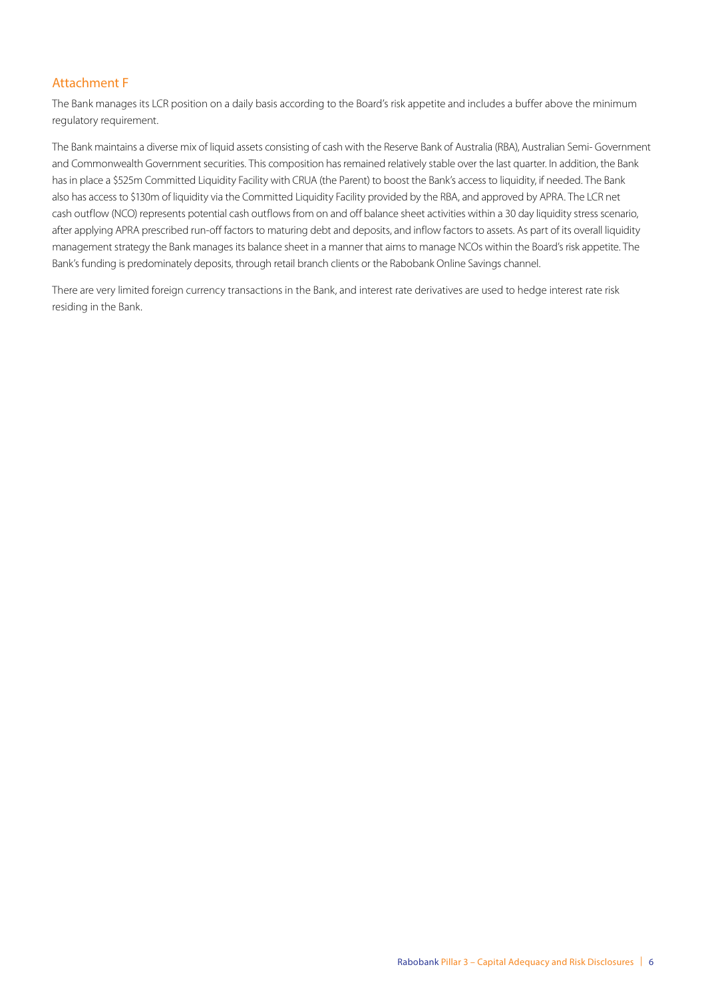The Bank manages its LCR position on a daily basis according to the Board's risk appetite and includes a buffer above the minimum regulatory requirement.

The Bank maintains a diverse mix of liquid assets consisting of cash with the Reserve Bank of Australia (RBA), Australian Semi- Government and Commonwealth Government securities. This composition has remained relatively stable over the last quarter. In addition, the Bank has in place a \$525m Committed Liquidity Facility with CRUA (the Parent) to boost the Bank's access to liquidity, if needed. The Bank also has access to \$130m of liquidity via the Committed Liquidity Facility provided by the RBA, and approved by APRA. The LCR net cash outflow (NCO) represents potential cash outflows from on and off balance sheet activities within a 30 day liquidity stress scenario, after applying APRA prescribed run-off factors to maturing debt and deposits, and inflow factors to assets. As part of its overall liquidity management strategy the Bank manages its balance sheet in a manner that aims to manage NCOs within the Board's risk appetite. The Bank's funding is predominately deposits, through retail branch clients or the Rabobank Online Savings channel.

There are very limited foreign currency transactions in the Bank, and interest rate derivatives are used to hedge interest rate risk residing in the Bank.